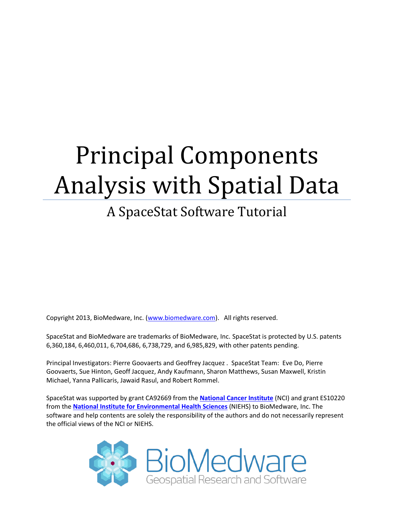# Principal Components Analysis with Spatial Data

# A SpaceStat Software Tutorial

Copyright 2013, BioMedware, Inc. [\(www.biomedware.com\)](http://www.biomedware.com/). All rights reserved.

SpaceStat and BioMedware are trademarks of BioMedware, Inc. SpaceStat is protected by U.S. patents 6,360,184, 6,460,011, 6,704,686, 6,738,729, and 6,985,829, with other patents pending.

Principal Investigators: Pierre Goovaerts and Geoffrey Jacquez . SpaceStat Team: Eve Do, Pierre Goovaerts, Sue Hinton, Geoff Jacquez, Andy Kaufmann, Sharon Matthews, Susan Maxwell, Kristin Michael, Yanna Pallicaris, Jawaid Rasul, and Robert Rommel.

SpaceStat was supported by grant CA92669 from the **[National Cancer Institute](http://www.nci.nih.gov/)** (NCI) and grant ES10220 from the **[National Institute for Environmental Health Sciences](http://www.niehs.nih.gov/)** (NIEHS) to BioMedware, Inc. The software and help contents are solely the responsibility of the authors and do not necessarily represent the official views of the NCI or NIEHS.

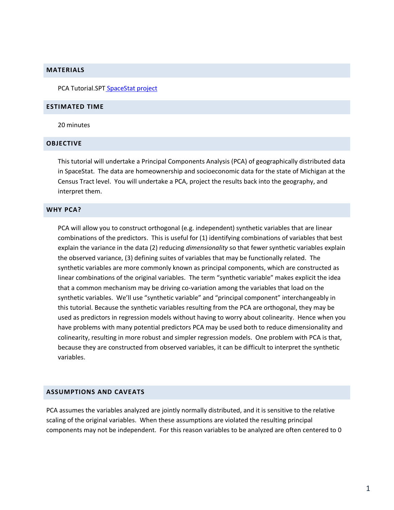#### **MATERIALS**

PCA Tutorial.SPT [SpaceStat project](http://www.biomedware.com/subdomains/biomed/files/tutorials/MixedModelRegressionPart2/AllCancerFemale.spt) 

#### **ESTIMATED TIME**

20 minutes

#### **OBJECTIVE**

This tutorial will undertake a Principal Components Analysis (PCA) of geographically distributed data in SpaceStat. The data are homeownership and socioeconomic data for the state of Michigan at the Census Tract level. You will undertake a PCA, project the results back into the geography, and interpret them.

#### **WHY PCA?**

PCA will allow you to construct orthogonal (e.g. independent) synthetic variables that are linear combinations of the predictors. This is useful for (1) identifying combinations of variables that best explain the variance in the data (2) reducing *dimensionality* so that fewer synthetic variables explain the observed variance, (3) defining suites of variables that may be functionally related. The synthetic variables are more commonly known as principal components, which are constructed as linear combinations of the original variables. The term "synthetic variable" makes explicit the idea that a common mechanism may be driving co-variation among the variables that load on the synthetic variables. We'll use "synthetic variable" and "principal component" interchangeably in this tutorial. Because the synthetic variables resulting from the PCA are orthogonal, they may be used as predictors in regression models without having to worry about colinearity. Hence when you have problems with many potential predictors PCA may be used both to reduce dimensionality and colinearity, resulting in more robust and simpler regression models. One problem with PCA is that, because they are constructed from observed variables, it can be difficult to interpret the synthetic variables.

#### **ASSUMPTIONS AND CAVEATS**

PCA assumes the variables analyzed are jointly normally distributed, and it is sensitive to the relative scaling of the original variables. When these assumptions are violated the resulting principal components may not be independent. For this reason variables to be analyzed are often centered to 0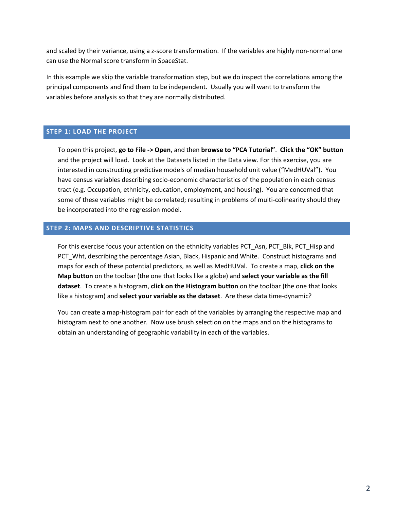and scaled by their variance, using a z-score transformation. If the variables are highly non-normal one can use the Normal score transform in SpaceStat.

In this example we skip the variable transformation step, but we do inspect the correlations among the principal components and find them to be independent. Usually you will want to transform the variables before analysis so that they are normally distributed.

#### **STEP 1: LOAD THE PROJECT**

To open this project, **go to File -> Open**, and then **browse to "PCA Tutorial"**. **Click the "OK" button** and the project will load. Look at the Datasets listed in the Data view. For this exercise, you are interested in constructing predictive models of median household unit value ("MedHUVal"). You have census variables describing socio-economic characteristics of the population in each census tract (e.g. Occupation, ethnicity, education, employment, and housing). You are concerned that some of these variables might be correlated; resulting in problems of multi-colinearity should they be incorporated into the regression model.

## **STEP 2: MAPS AND DESCRIPTIVE STATISTICS**

For this exercise focus your attention on the ethnicity variables PCT Asn, PCT Blk, PCT Hisp and PCT\_Wht, describing the percentage Asian, Black, Hispanic and White. Construct histograms and maps for each of these potential predictors, as well as MedHUVal. To create a map, **click on the Map button** on the toolbar (the one that looks like a globe) and **select your variable as the fill dataset**. To create a histogram, **click on the Histogram button** on the toolbar (the one that looks like a histogram) and **select your variable as the dataset**. Are these data time-dynamic?

You can create a map-histogram pair for each of the variables by arranging the respective map and histogram next to one another. Now use brush selection on the maps and on the histograms to obtain an understanding of geographic variability in each of the variables.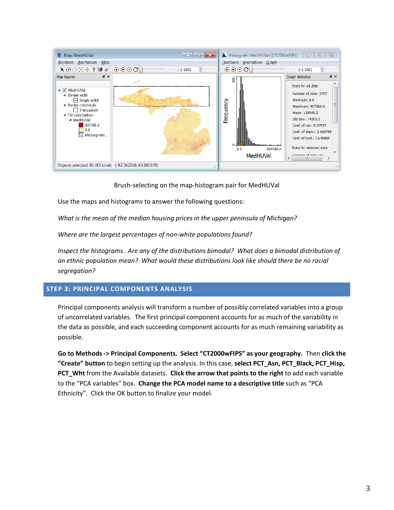

Brush-selecting on the map-histogram pair for MedHUVal

Use the maps and histograms to answer the following questions:

*What is the mean of the median housing prices in the upper peninsula of Michigan?*

*Where are the largest percentages of non-white populations found?* 

*Inspect the histograms. Are any of the distributions bimodal? What does a bimodal distribution of an ethnic population mean? What would these distributions look like should there be no racial segregation?*

# **STEP 3: PRINCIPAL COMPONENTS ANALYSIS**

Principal components analysis will transform a number of possibly correlated variables into a group of uncorrelated variables. The first principal component accounts for as much of the variability in the data as possible, and each succeeding component accounts for as much remaining variability as possible.

**Go to Methods -> Principal Components. Select "CT2000wFIPS" as your geography.** Then **click the "Create" button** to begin setting up the analysis. In this case, **select PCT\_Asn, PCT\_Black, PCT\_Hisp, PCT\_Wht** from the Available datasets. **Click the arrow that points to the right** to add each variable to the "PCA variables" box. **Change the PCA model name to a descriptive title** such as "PCA Ethnicity". Click the OK button to finalize your model.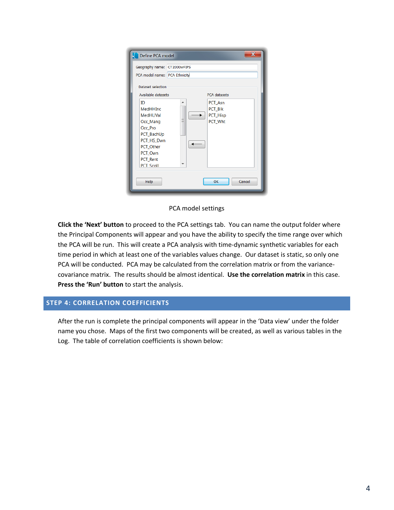| Define PCA model                                                                                                                             | $\mathbf x$                                         |  |  |  |  |  |
|----------------------------------------------------------------------------------------------------------------------------------------------|-----------------------------------------------------|--|--|--|--|--|
| Geography name: CT2000wFIPS                                                                                                                  |                                                     |  |  |  |  |  |
| PCA model name: PCA Ethnicity                                                                                                                |                                                     |  |  |  |  |  |
| Dataset selection                                                                                                                            |                                                     |  |  |  |  |  |
| Available datasets                                                                                                                           | <b>PCA</b> datasets                                 |  |  |  |  |  |
| ID<br>MedHHInc<br><b>MedHUVal</b><br>Occ_Mang<br>Occ_Pro<br>PCT_BachUp<br>PCT_HS_Dwn<br>PCT_Other<br>PCT Own<br>PCT_Rent<br><b>PCT Scoll</b> | PCT_Asn<br>▲<br>PCT_BIk<br>PCT_Hisp<br>Ξ<br>PCT_Wht |  |  |  |  |  |
| Help                                                                                                                                         | OK<br>Cancel                                        |  |  |  |  |  |

PCA model settings

**Click the 'Next' button** to proceed to the PCA settings tab. You can name the output folder where the Principal Components will appear and you have the ability to specify the time range over which the PCA will be run. This will create a PCA analysis with time-dynamic synthetic variables for each time period in which at least one of the variables values change. Our dataset is static, so only one PCA will be conducted. PCA may be calculated from the correlation matrix or from the variancecovariance matrix. The results should be almost identical. **Use the correlation matrix** in this case. **Press the 'Run' button** to start the analysis.

#### **STEP 4: CORRELATION COEFFICIENTS**

After the run is complete the principal components will appear in the 'Data view' under the folder name you chose. Maps of the first two components will be created, as well as various tables in the Log. The table of correlation coefficients is shown below: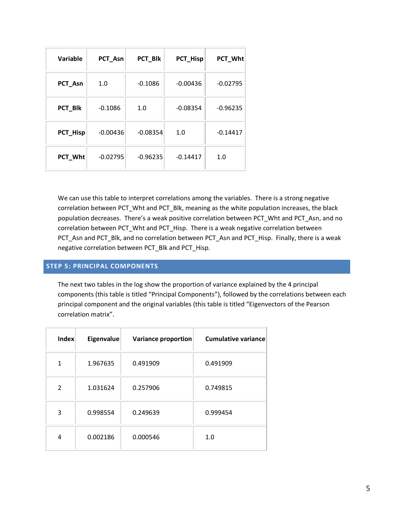| Variable | PCT_Asn    | PCT_Blk    | PCT_Hisp   | PCT_Wht    |
|----------|------------|------------|------------|------------|
| PCT_Asn  | 1.0        | $-0.1086$  | $-0.00436$ | $-0.02795$ |
| PCT_Blk  | $-0.1086$  | 1.0        | $-0.08354$ | $-0.96235$ |
| PCT_Hisp | $-0.00436$ | $-0.08354$ | 1.0        | $-0.14417$ |
| PCT_Wht  | $-0.02795$ | $-0.96235$ | $-0.14417$ | 1.0        |

We can use this table to interpret correlations among the variables. There is a strong negative correlation between PCT\_Wht and PCT\_Blk, meaning as the white population increases, the black population decreases. There's a weak positive correlation between PCT\_Wht and PCT\_Asn, and no correlation between PCT\_Wht and PCT\_Hisp. There is a weak negative correlation between PCT Asn and PCT\_Blk, and no correlation between PCT\_Asn and PCT\_Hisp. Finally, there is a weak negative correlation between PCT\_Blk and PCT\_Hisp.

# **STEP 5: PRINCIPAL COMPONENTS**

The next two tables in the log show the proportion of variance explained by the 4 principal components (this table is titled "Principal Components"), followed by the correlations between each principal component and the original variables (this table is titled "Eigenvectors of the Pearson correlation matrix".

| Index | Eigenvalue | Variance proportion | <b>Cumulative variance</b> |
|-------|------------|---------------------|----------------------------|
| 1     | 1.967635   | 0.491909            | 0.491909                   |
| 2     | 1.031624   | 0.257906            | 0.749815                   |
| 3     | 0.998554   | 0.249639            | 0.999454                   |
| 4     | 0.002186   | 0.000546            | 1.0                        |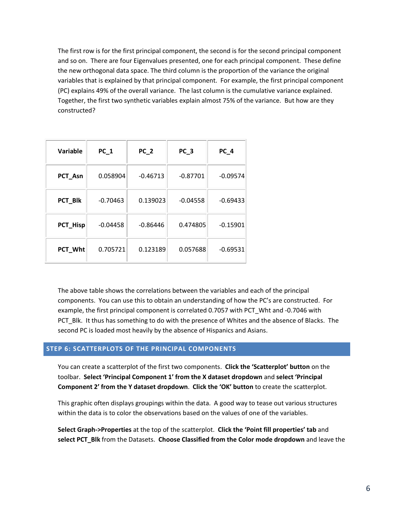The first row is for the first principal component, the second is for the second principal component and so on. There are four Eigenvalues presented, one for each principal component. These define the new orthogonal data space. The third column is the proportion of the variance the original variables that is explained by that principal component. For example, the first principal component (PC) explains 49% of the overall variance. The last column is the cumulative variance explained. Together, the first two synthetic variables explain almost 75% of the variance. But how are they constructed?

| <b>Variable</b> | $PC_1$     | $PC_2$     | PC <sub>3</sub> | PC <sub>4</sub> |
|-----------------|------------|------------|-----------------|-----------------|
| PCT_Asn         | 0.058904   | $-0.46713$ | $-0.87701$      | $-0.09574$      |
| PCT_BIk         | $-0.70463$ | 0.139023   | $-0.04558$      | $-0.69433$      |
| PCT_Hisp        | $-0.04458$ | $-0.86446$ | 0.474805        | $-0.15901$      |
| PCT_Wht         | 0.705721   | 0.123189   | 0.057688        | $-0.69531$      |

The above table shows the correlations between the variables and each of the principal components. You can use this to obtain an understanding of how the PC's are constructed. For example, the first principal component is correlated 0.7057 with PCT\_Wht and -0.7046 with PCT Blk. It thus has something to do with the presence of Whites and the absence of Blacks. The second PC is loaded most heavily by the absence of Hispanics and Asians.

#### **STEP 6: SCATTERPLOTS OF THE PRINCIPAL COMPONENTS**

You can create a scatterplot of the first two components. **Click the 'Scatterplot' button** on the toolbar. **Select 'Principal Component 1' from the X dataset dropdown** and **select 'Principal Component 2' from the Y dataset dropdown**. **Click the 'OK' button** to create the scatterplot.

This graphic often displays groupings within the data. A good way to tease out various structures within the data is to color the observations based on the values of one of the variables.

**Select Graph->Properties** at the top of the scatterplot. **Click the 'Point fill properties' tab** and **select PCT\_Blk** from the Datasets. **Choose Classified from the Color mode dropdown** and leave the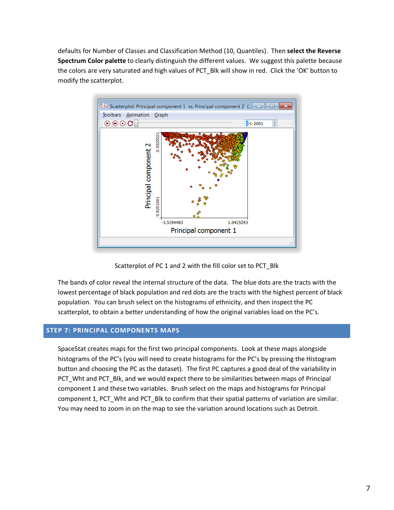defaults for Number of Classes and Classification Method (10, Quantiles). Then **select the Reverse Spectrum Color palette** to clearly distinguish the different values. We suggest this palette because the colors are very saturated and high values of PCT\_Blk will show in red. Click the 'OK' button to modify the scatterplot.



Scatterplot of PC 1 and 2 with the fill color set to PCT\_Blk

The bands of color reveal the internal structure of the data. The blue dots are the tracts with the lowest percentage of black population and red dots are the tracts with the highest percent of black population. You can brush select on the histograms of ethnicity, and then inspect the PC scatterplot, to obtain a better understanding of how the original variables load on the PC's.

## **STEP 7: PRINCIPAL COMPONENTS MAPS**

SpaceStat creates maps for the first two principal components. Look at these maps alongside histograms of the PC's (you will need to create histograms for the PC's by pressing the Histogram button and choosing the PC as the dataset). The first PC captures a good deal of the variability in PCT\_Wht and PCT\_Blk, and we would expect there to be similarities between maps of Principal component 1 and these two variables. Brush select on the maps and histograms for Principal component 1, PCT\_Wht and PCT\_Blk to confirm that their spatial patterns of variation are similar. You may need to zoom in on the map to see the variation around locations such as Detroit.